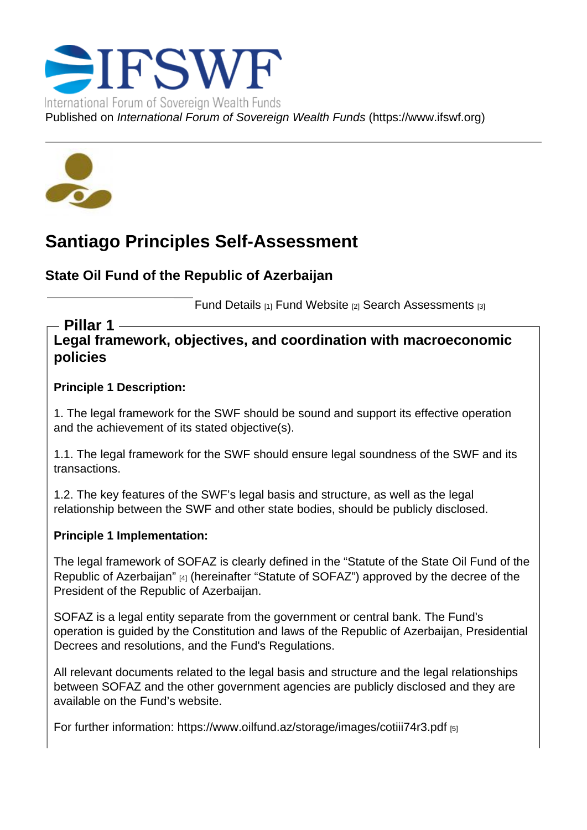## Santiago Principles Self-Assessment

State Oil Fund of the Republic of Azerbaijan

Fund Details [1] Fund Website [2] Search Assessments [3]

Legal framework, objectives, and coordination with macroeconomic policies Pillar 1

Principle 1 Description:

1. The legal framework for the SWF should be sound and support its effective operation and the achievement of its stated objective(s).

1.1. The legal framework for the SWF should ensure legal soundness of the SWF and its transactions.

1.2. The key features of the SWF's legal basis and structure, as well as the legal relationship between the SWF and other state bodies, should be publicly disclosed.

Principle 1 Implementation:

The legal framework of SOFAZ is clearly defined in the "Statute of the State Oil Fund of the Republic of Azerbaijan" [4] (hereinafter "Statute of SOFAZ") approved by the decree of the President of the Republic of Azerbaijan.

SOFAZ is a legal entity separate from the government [or central bank. The Fund's](http://www.oilfund.az/en/content/25/154)  [operation is guided by th](http://www.oilfund.az/en/content/25/154)e Constitution and laws of the Republic of Azerbaijan, Presidential Decrees and resolutions, and the Fund's Regulations.

All relevant documents related to the legal basis and structure and the legal relationships between SOFAZ and the other government agencies are publicly disclosed and they are available on the Fund's website.

For further information: https://www.oilfund.az/storage/images/cotiii74r3.pdf [5]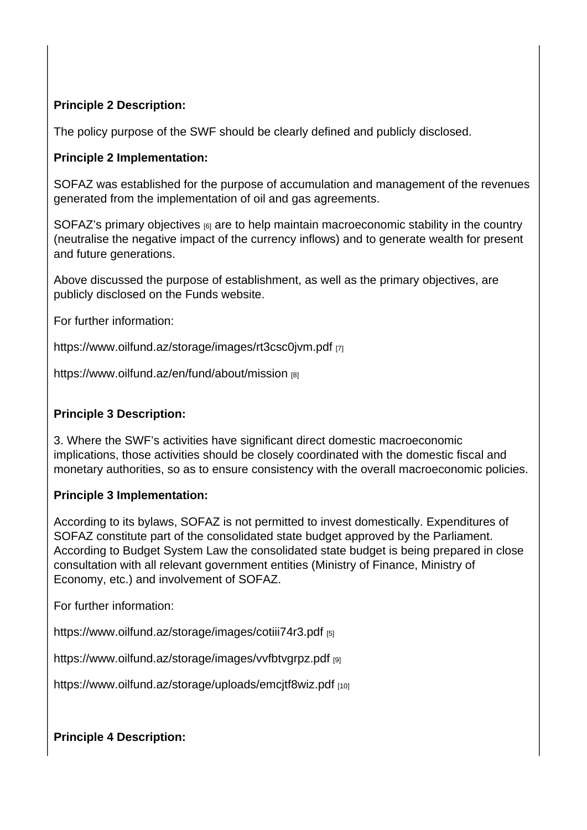Principle 2 Description:

The policy purpose of the SWF should be clearly defined and publicly disclosed.

Principle 2 Implementation:

SOFAZ was established for the purpose of accumulation and management of the revenues generated from the implementation of oil and gas agreements.

SOFAZ's primary objectives  $_{[6]}$  are to help maintain macroeconomic stability in the country (neutralise the negative impact of the currency inflows) and to generate wealth for present and future generations.

[Above discussed the purpos](http://www.oilfund.az/en/content/3)e of establishment, as well as the primary objectives, are publicly disclosed on the Funds website.

For further information:

https://www.oilfund.az/storage/images/rt3csc0jvm.pdf [7]

https://www.oilfund.az/en/fund/about/mission [8]

[Principle 3 Description:](https://www.oilfund.az/en/fund/about/mission) 

3. Where the SWF's activities have significant direct domestic macroeconomic implications, those activities should be closely coordinated with the domestic fiscal and monetary authorities, so as to ensure consistency with the overall macroeconomic policies.

Principle 3 Implementation:

According to its bylaws, SOFAZ is not permitted to invest domestically. Expenditures of SOFAZ constitute part of the consolidated state budget approved by the Parliament. According to Budget System Law the consolidated state budget is being prepared in close consultation with all relevant government entities (Ministry of Finance, Ministry of Economy, etc.) and involvement of SOFAZ.

For further information:

https://www.oilfund.az/storage/images/cotiii74r3.pdf [5]

https://www.oilfund.az/storage/images/vvfbtvgrpz.pdf [9]

[https://www.oilfund.az/storage/uploads/emcjtf8wiz.p](https://www.oilfund.az/storage/images/cotiii74r3.pdf)df [10]

[Principle 4 Description:](https://www.oilfund.az/storage/uploads/emcjtf8wiz.pdf)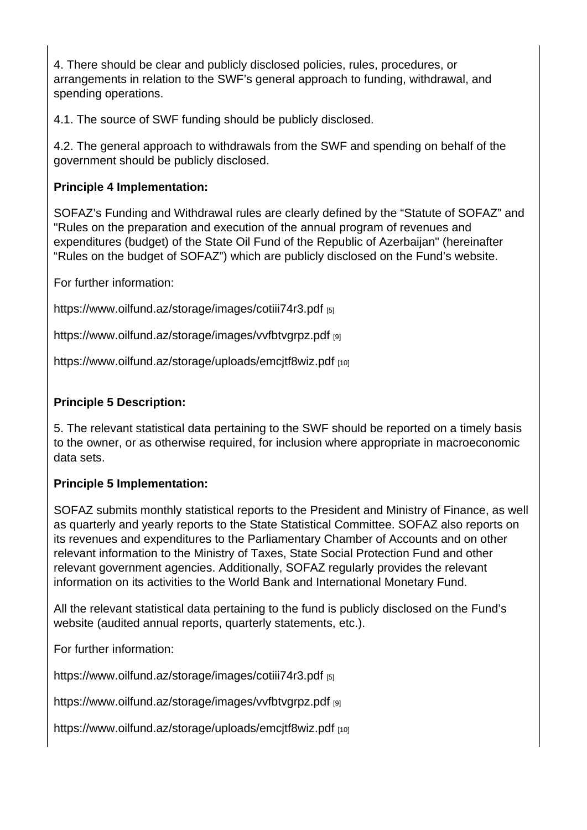4. There should be clear and publicly disclosed policies, rules, procedures, or arrangements in relation to the SWF's general approach to funding, withdrawal, and spending operations.

4.1. The source of SWF funding should be publicly disclosed.

4.2. The general approach to withdrawals from the SWF and spending on behalf of the government should be publicly disclosed.

Principle 4 Implementation:

SOFAZ's Funding and Withdrawal rules are clearly defined by the "Statute of SOFAZ" and "Rules on the preparation and execution of the annual program of revenues and expenditures (budget) of the State Oil Fund of the Republic of Azerbaijan" (hereinafter "Rules on the budget of SOFAZ") which are publicly disclosed on the Fund's website.

For further information:

https://www.oilfund.az/storage/images/cotiii74r3.pdf [5]

https://www.oilfund.az/storage/images/vvfbtvgrpz.pdf [9]

[https://www.oilfund.az/storage/uploads/emcjtf8wiz.p](https://www.oilfund.az/storage/images/cotiii74r3.pdf)df [10]

[Principle 5 Description:](https://www.oilfund.az/storage/uploads/emcjtf8wiz.pdf) 

5. The relevant statistical data pertaining to the SWF should be reported on a timely basis to the owner, or as otherwise required, for inclusion where appropriate in macroeconomic data sets.

Principle 5 Implementation:

SOFAZ submits monthly statistical reports to the President and Ministry of Finance, as well as quarterly and yearly reports to the State Statistical Committee. SOFAZ also reports on its revenues and expenditures to the Parliamentary Chamber of Accounts and on other relevant information to the Ministry of Taxes, State Social Protection Fund and other relevant government agencies. Additionally, SOFAZ regularly provides the relevant information on its activities to the World Bank and International Monetary Fund.

All the relevant statistical data pertaining to the fund is publicly disclosed on the Fund's website (audited annual reports, quarterly statements, etc.).

For further information:

https://www.oilfund.az/storage/images/cotiii74r3.pdf [5]

https://www.oilfund.az/storage/images/vvfbtvgrpz.pdf [9]

[https://www.oilfund.az/storage/uploads/emcjtf8wiz.p](https://www.oilfund.az/storage/images/cotiii74r3.pdf)df [10]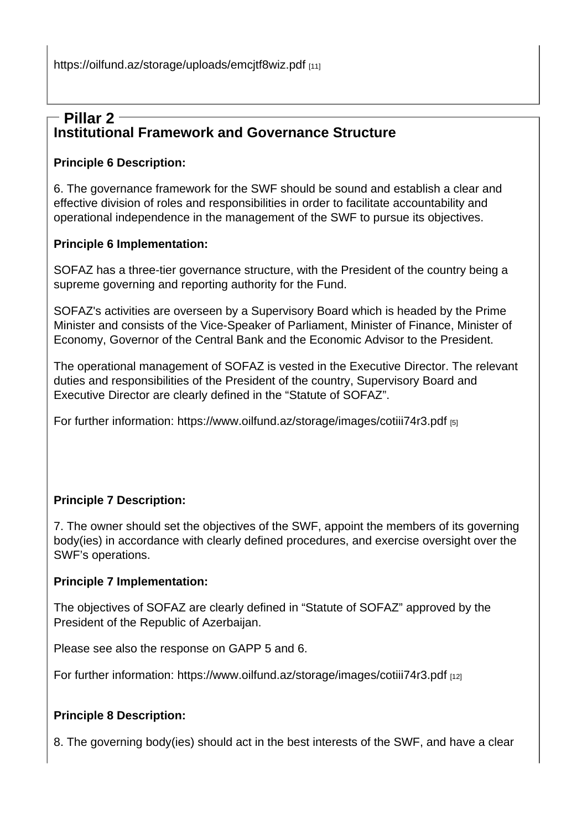## Institutional Framework and Governance Structure [Pillar 2](https://oilfund.az/storage/uploads/emcjtf8wiz.pdf)

Principle 6 Description:

6. The governance framework for the SWF should be sound and establish a clear and effective division of roles and responsibilities in order to facilitate accountability and operational independence in the management of the SWF to pursue its objectives.

Principle 6 Implementation:

SOFAZ has a three-tier governance structure, with the President of the country being a supreme governing and reporting authority for the Fund.

SOFAZ's activities are overseen by a Supervisory Board which is headed by the Prime Minister and consists of the Vice-Speaker of Parliament, Minister of Finance, Minister of Economy, Governor of the Central Bank and the Economic Advisor to the President.

The operational management of SOFAZ is vested in the Executive Director. The relevant duties and responsibilities of the President of the country, Supervisory Board and Executive Director are clearly defined in the "Statute of SOFAZ".

For further information: https://www.oilfund.az/storage/images/cotiii74r3.pdf [5]

Principle 7 Description:

7. The owner should set the objectives of the SWF, appoint the members of its governing body(ies) in accordance with clearly defined procedures, and exercise oversight over the SWF's operations.

Principle 7 Implementation:

The objectives of SOFAZ are clearly defined in "Statute of SOFAZ" approved by the President of the Republic of Azerbaijan.

Please see also the response on GAPP 5 and 6.

For further information: https://www.oilfund.az/storage/images/cotiii74r3.pdf [12]

Principle 8 Description:

8. The governing body(ies) should act in the best interests of the SWF, and have a clear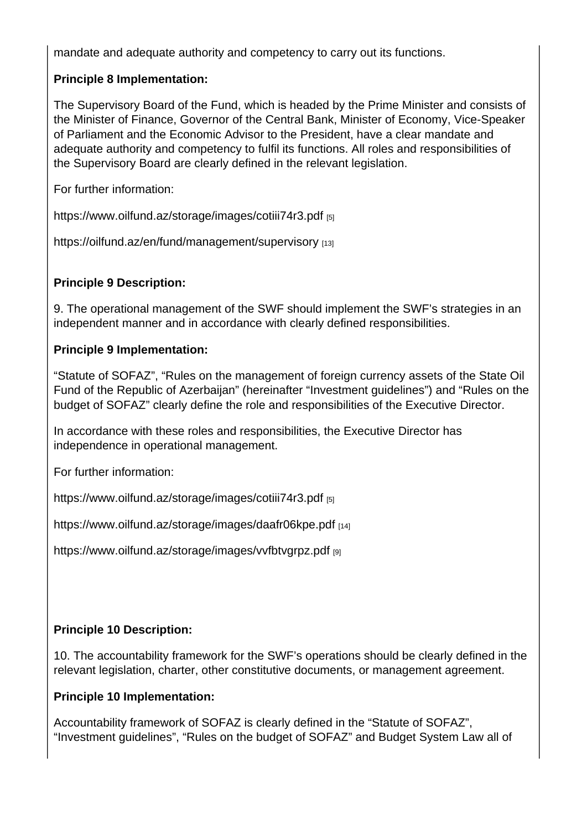mandate and adequate authority and competency to carry out its functions.

Principle 8 Implementation:

The Supervisory Board of the Fund, which is headed by the Prime Minister and consists of the Minister of Finance, Governor of the Central Bank, Minister of Economy, Vice-Speaker of Parliament and the Economic Advisor to the President, have a clear mandate and adequate authority and competency to fulfil its functions. All roles and responsibilities of the Supervisory Board are clearly defined in the relevant legislation.

For further information:

https://www.oilfund.az/storage/images/cotiii74r3.pdf [5]

https://oilfund.az/en/fund/management/supervisory [13]

[Principle 9 Description:](https://oilfund.az/en/fund/management/supervisory) 

9. The operational management of the SWF should implement the SWF's strategies in an independent manner and in accordance with clearly defined responsibilities.

Principle 9 Implementation:

"Statute of SOFAZ", "Rules on the management of foreign currency assets of the State Oil Fund of the Republic of Azerbaijan" (hereinafter "Investment guidelines") and "Rules on the budget of SOFAZ" clearly define the role and responsibilities of the Executive Director.

In accordance with these roles and responsibilities, the Executive Director has independence in operational management.

For further information:

https://www.oilfund.az/storage/images/cotiii74r3.pdf [5]

https://www.oilfund.az/storage/images/daafr06kpe.pdf [14]

[https://www.oilfund.az/storage/images/vvfbtvgrpz.pd](https://www.oilfund.az/storage/images/cotiii74r3.pdf)f [9]

Principle 10 Description:

10. The accountability framework for the SWF's operations should be clearly defined in the relevant legislation, charter, other constitutive documents, or management agreement.

Principle 10 Implementation:

Accountability framework of SOFAZ is clearly defined in the "Statute of SOFAZ", "Investment guidelines", "Rules on the budget of SOFAZ" and Budget System Law all of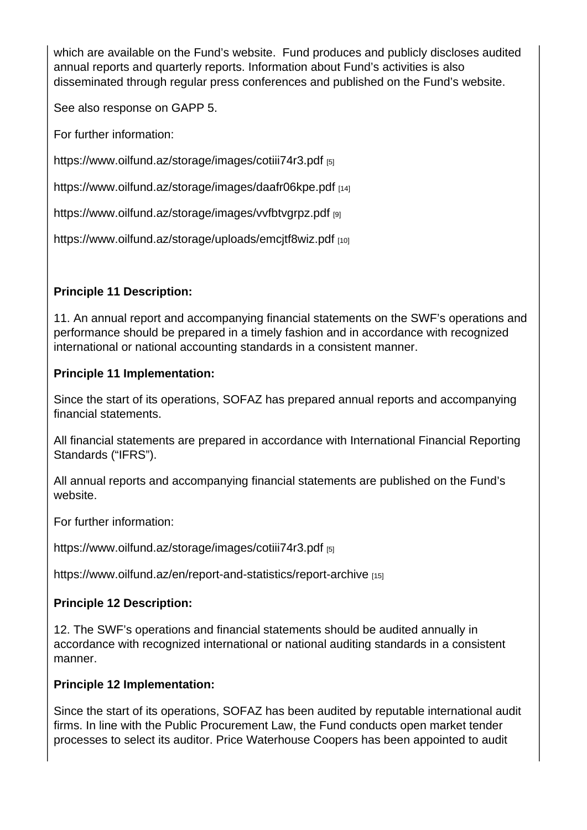which are available on the Fund's website. Fund produces and publicly discloses audited annual reports and quarterly reports. Information about Fund's activities is also disseminated through regular press conferences and published on the Fund's website.

See also response on GAPP 5.

For further information:

https://www.oilfund.az/storage/images/cotiii74r3.pdf [5]

https://www.oilfund.az/storage/images/daafr06kpe.pdf [14]

[https://www.oilfund.az/storage/images/vvfbtvgrpz.pd](https://www.oilfund.az/storage/images/cotiii74r3.pdf)f [9]

[https://www.oilfund.az/storage/uploads/emcjtf8wiz.pdf](https://www.oilfund.az/storage/images/daafr06kpe.pdf) [10]

[Principle 11 Description:](https://www.oilfund.az/storage/uploads/emcjtf8wiz.pdf) 

11. An annual report and accompanying financial statements on the SWF's operations and performance should be prepared in a timely fashion and in accordance with recognized international or national accounting standards in a consistent manner.

Principle 11 Implementation:

Since the start of its operations, SOFAZ has prepared annual reports and accompanying financial statements.

All financial statements are prepared in accordance with International Financial Reporting Standards ("IFRS").

All annual reports and accompanying financial statements are published on the Fund's website.

For further information:

https://www.oilfund.az/storage/images/cotiii74r3.pdf [5]

https://www.oilfund.az/en/report-and-statistics/report-archive [15]

[Principle 12 Description:](https://www.oilfund.az/storage/images/cotiii74r3.pdf) 

[12. The SWF's operations and financial statements should b](https://www.oilfund.az/en/report-and-statistics/report-archive)e audited annually in accordance with recognized international or national auditing standards in a consistent manner.

Principle 12 Implementation:

Since the start of its operations, SOFAZ has been audited by reputable international audit firms. In line with the Public Procurement Law, the Fund conducts open market tender processes to select its auditor. Price Waterhouse Coopers has been appointed to audit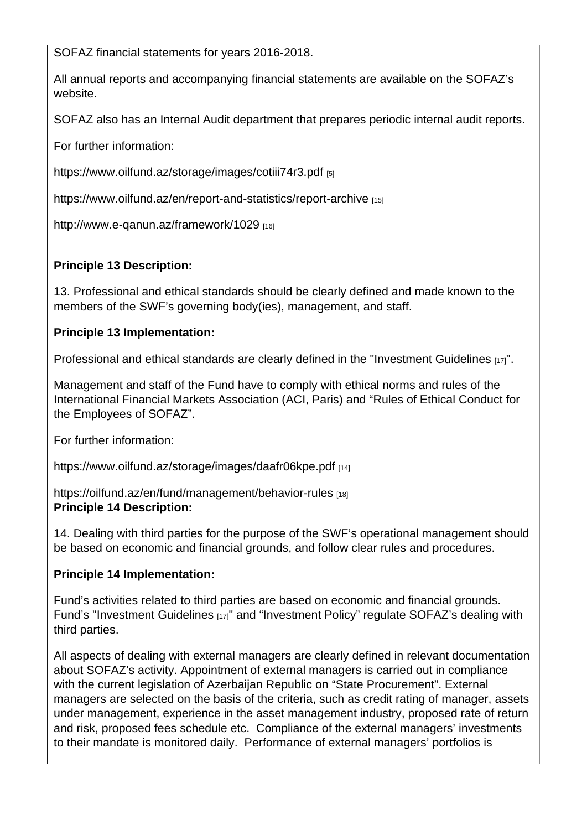SOFAZ financial statements for years 2016-2018.

All annual reports and accompanying financial statements are available on the SOFAZ's website.

SOFAZ also has an Internal Audit department that prepares periodic internal audit reports.

For further information:

https://www.oilfund.az/storage/images/cotiii74r3.pdf [5]

https://www.oilfund.az/en/report-and-statistics/report-archive [15]

[http://www.e-qanun.az/framework/1029](https://www.oilfund.az/storage/images/cotiii74r3.pdf) [16]

[Principle 13 Description:](http://www.e-qanun.az/framework/1029) 

13. Professional and ethical standards should be clearly defined and made known to the members of the SWF's governing body(ies), management, and staff.

Principle 13 Implementation:

Professional and ethical standards are clearly defined in the "Investment Guidelines [17]".

Management and staff of the Fund have to comply with ethical norms and rules of the International Financial Markets Association (ACI, Paris) and "[Rules of Ethical Condu](http://www.oilfund.az/en/content/25/155)ct for the Employees of SOFAZ".

For further information:

https://www.oilfund.az/storage/images/daafr06kpe.pdf [14]

https://oilfund.az/en/fund/management/behavior-rules [18] [Principle 14 Description:](https://www.oilfund.az/storage/images/daafr06kpe.pdf) 

[14. Dealing with third parties for the purpose of the SW](https://oilfund.az/en/fund/management/behavior-rules)F's operational management should be based on economic and financial grounds, and follow clear rules and procedures.

Principle 14 Implementation:

Fund's activities related to third parties are based on economic and financial grounds. Fund's "Investment Guidelines [17]" and "Investment Policy" regulate SOFAZ's dealing with third parties.

All aspe[cts of dealing with exte](http://www.oilfund.az/en/content/25/155)rnal managers are clearly defined in relevant documentation about SOFAZ's activity. Appointment of external managers is carried out in compliance with the current legislation of Azerbaijan Republic on "State Procurement". External managers are selected on the basis of the criteria, such as credit rating of manager, assets under management, experience in the asset management industry, proposed rate of return and risk, proposed fees schedule etc. Compliance of the external managers' investments to their mandate is monitored daily. Performance of external managers' portfolios is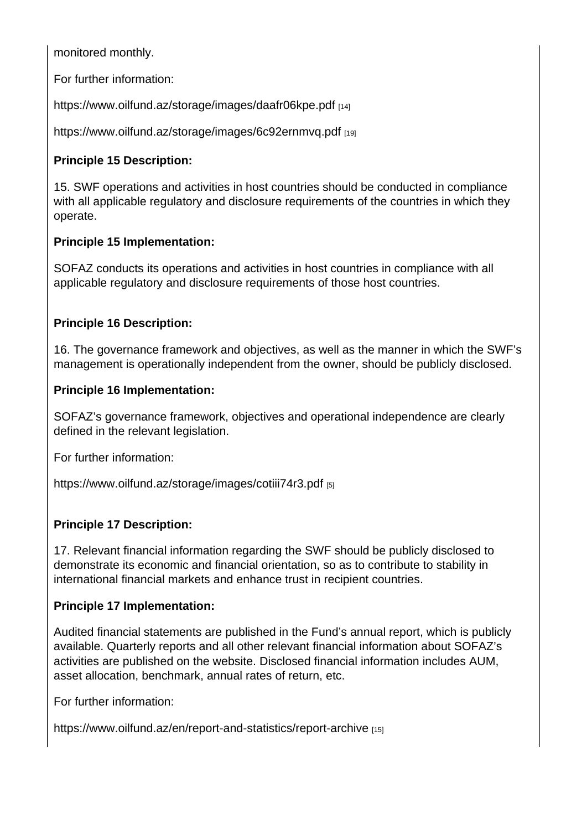monitored monthly.

For further information:

https://www.oilfund.az/storage/images/daafr06kpe.pdf [14]

https://www.oilfund.az/storage/images/6c92ernmvg.pdf [19]

[Principle 15 Description:](https://www.oilfund.az/storage/images/daafr06kpe.pdf) 

[15. SWF operations and activities in host countries sho](https://www.oilfund.az/storage/images/6c92ernmvq.pdf)uld be conducted in compliance with all applicable regulatory and disclosure requirements of the countries in which they operate.

Principle 15 Implementation:

SOFAZ conducts its operations and activities in host countries in compliance with all applicable regulatory and disclosure requirements of those host countries.

Principle 16 Description:

16. The governance framework and objectives, as well as the manner in which the SWF's management is operationally independent from the owner, should be publicly disclosed.

Principle 16 Implementation:

SOFAZ's governance framework, objectives and operational independence are clearly defined in the relevant legislation.

For further information:

https://www.oilfund.az/storage/images/cotiii74r3.pdf [5]

[Principle 17 Description:](https://www.oilfund.az/storage/images/cotiii74r3.pdf) 

17. Relevant financial information regarding the SWF should be publicly disclosed to demonstrate its economic and financial orientation, so as to contribute to stability in international financial markets and enhance trust in recipient countries.

Principle 17 Implementation:

Audited financial statements are published in the Fund's annual report, which is publicly available. Quarterly reports and all other relevant financial information about SOFAZ's activities are published on the website. Disclosed financial information includes AUM, asset allocation, benchmark, annual rates of return, etc.

For further information:

https://www.oilfund.az/en/report-and-statistics/report-archive [15]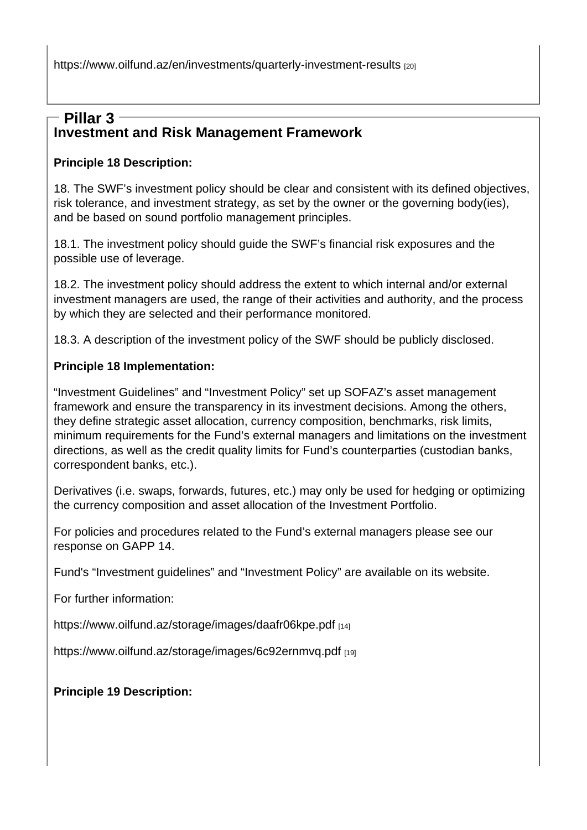https://www.oilfund.az/en/investments/quarterly-investment-results [20]

## Investment and Risk Management Framework [Pillar 3](https://www.oilfund.az/en/investments/quarterly-investment-results)

Principle 18 Description:

18. The SWF's investment policy should be clear and consistent with its defined objectives, risk tolerance, and investment strategy, as set by the owner or the governing body(ies), and be based on sound portfolio management principles.

18.1. The investment policy should guide the SWF's financial risk exposures and the possible use of leverage.

18.2. The investment policy should address the extent to which internal and/or external investment managers are used, the range of their activities and authority, and the process by which they are selected and their performance monitored.

18.3. A description of the investment policy of the SWF should be publicly disclosed.

Principle 18 Implementation:

"Investment Guidelines" and "Investment Policy" set up SOFAZ's asset management framework and ensure the transparency in its investment decisions. Among the others, they define strategic asset allocation, currency composition, benchmarks, risk limits, minimum requirements for the Fund's external managers and limitations on the investment directions, as well as the credit quality limits for Fund's counterparties (custodian banks, correspondent banks, etc.).

Derivatives (i.e. swaps, forwards, futures, etc.) may only be used for hedging or optimizing the currency composition and asset allocation of the Investment Portfolio.

For policies and procedures related to the Fund's external managers please see our response on GAPP 14.

Fund's "Investment guidelines" and "Investment Policy" are available on its website.

For further information:

https://www.oilfund.az/storage/images/daafr06kpe.pdf [14]

https://www.oilfund.az/storage/images/6c92ernmvq.pdf [19]

[Principle 19 Description:](https://www.oilfund.az/storage/images/6c92ernmvq.pdf)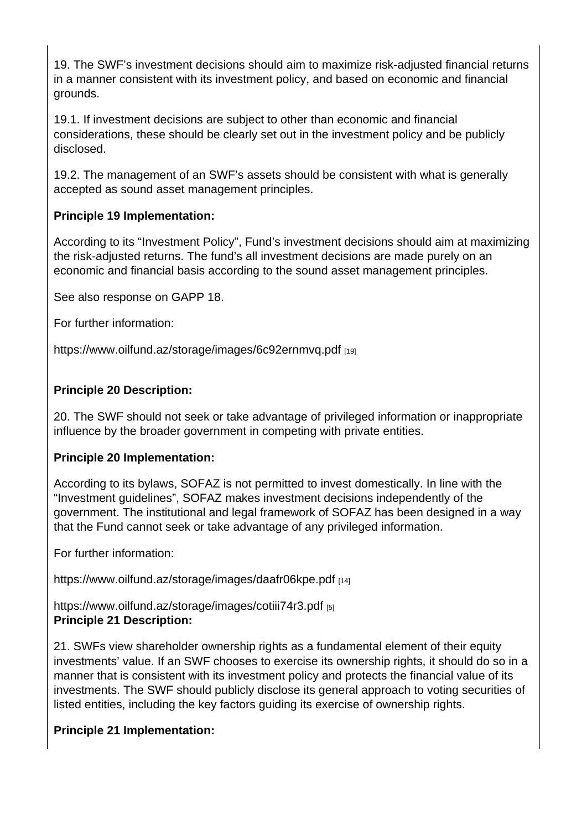19. The SWF's investment decisions should aim to maximize risk-adjusted financial returns in a manner consistent with its investment policy, and based on economic and financial grounds.

19.1. If investment decisions are subject to other than economic and financial considerations, these should be clearly set out in the investment policy and be publicly disclosed.

19.2. The management of an SWF's assets should be consistent with what is generally accepted as sound asset management principles.

Principle 19 Implementation:

According to its "Investment Policy", Fund's investment decisions should aim at maximizing the risk-adjusted returns. The fund's all investment decisions are made purely on an economic and financial basis according to the sound asset management principles.

See also response on GAPP 18.

For further information:

https://www.oilfund.az/storage/images/6c92ernmvq.pdf [19]

[Principle 20 Description:](https://www.oilfund.az/storage/images/6c92ernmvq.pdf) 

20. The SWF should not seek or take advantage of privileged information or inappropriate influence by the broader government in competing with private entities.

Principle 20 Implementation:

According to its bylaws, SOFAZ is not permitted to invest domestically. In line with the "Investment guidelines", SOFAZ makes investment decisions independently of the government. The institutional and legal framework of SOFAZ has been designed in a way that the Fund cannot seek or take advantage of any privileged information.

For further information:

https://www.oilfund.az/storage/images/daafr06kpe.pdf [14]

https://www.oilfund.az/storage/images/cotiii74r3.pdf [5] [Principle 21 Description:](https://www.oilfund.az/storage/images/daafr06kpe.pdf) 

21. SWFs view shareholder ownership rights as a fundamental element of their equity [investments' value. If an SWF chooses to exercise i](https://www.oilfund.az/storage/images/cotiii74r3.pdf)ts ownership rights, it should do so in a manner that is consistent with its investment policy and protects the financial value of its investments. The SWF should publicly disclose its general approach to voting securities of listed entities, including the key factors guiding its exercise of ownership rights.

Principle 21 Implementation: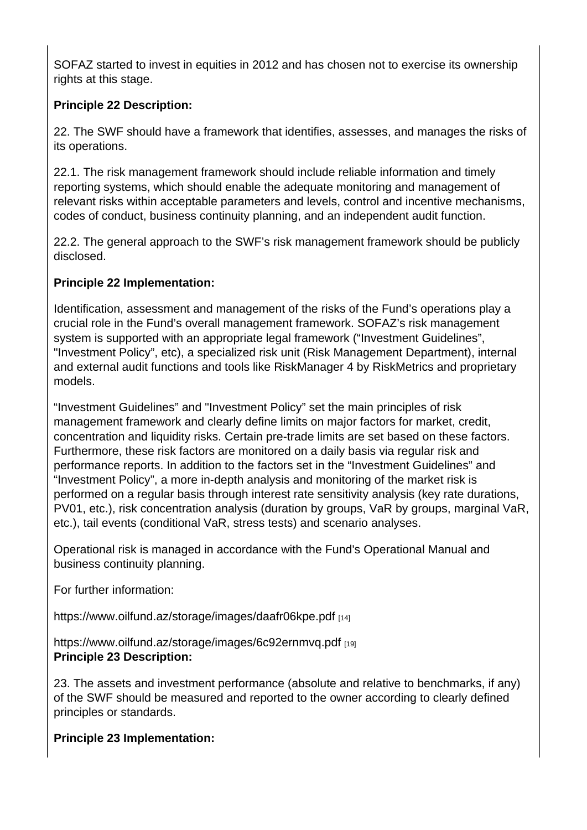SOFAZ started to invest in equities in 2012 and has chosen not to exercise its ownership rights at this stage.

Principle 22 Description:

22. The SWF should have a framework that identifies, assesses, and manages the risks of its operations.

22.1. The risk management framework should include reliable information and timely reporting systems, which should enable the adequate monitoring and management of relevant risks within acceptable parameters and levels, control and incentive mechanisms, codes of conduct, business continuity planning, and an independent audit function.

22.2. The general approach to the SWF's risk management framework should be publicly disclosed.

Principle 22 Implementation:

Identification, assessment and management of the risks of the Fund's operations play a crucial role in the Fund's overall management framework. SOFAZ's risk management system is supported with an appropriate legal framework ("Investment Guidelines", "Investment Policy", etc), a specialized risk unit (Risk Management Department), internal and external audit functions and tools like RiskManager 4 by RiskMetrics and proprietary models.

"Investment Guidelines" and "Investment Policy" set the main principles of risk management framework and clearly define limits on major factors for market, credit, concentration and liquidity risks. Certain pre-trade limits are set based on these factors. Furthermore, these risk factors are monitored on a daily basis via regular risk and performance reports. In addition to the factors set in the "Investment Guidelines" and "Investment Policy", a more in-depth analysis and monitoring of the market risk is performed on a regular basis through interest rate sensitivity analysis (key rate durations, PV01, etc.), risk concentration analysis (duration by groups, VaR by groups, marginal VaR, etc.), tail events (conditional VaR, stress tests) and scenario analyses.

Operational risk is managed in accordance with the Fund's Operational Manual and business continuity planning.

For further information:

https://www.oilfund.az/storage/images/daafr06kpe.pdf [14]

https://www.oilfund.az/storage/images/6c92ernmvq.pdf [19] [Principle 23 Description:](https://www.oilfund.az/storage/images/daafr06kpe.pdf) 

23. The assets and investment performance (absolute and relative to benchmarks, if any) [of the SWF should be measured and reported to the ow](https://www.oilfund.az/storage/images/6c92ernmvq.pdf)ner according to clearly defined principles or standards.

Principle 23 Implementation: